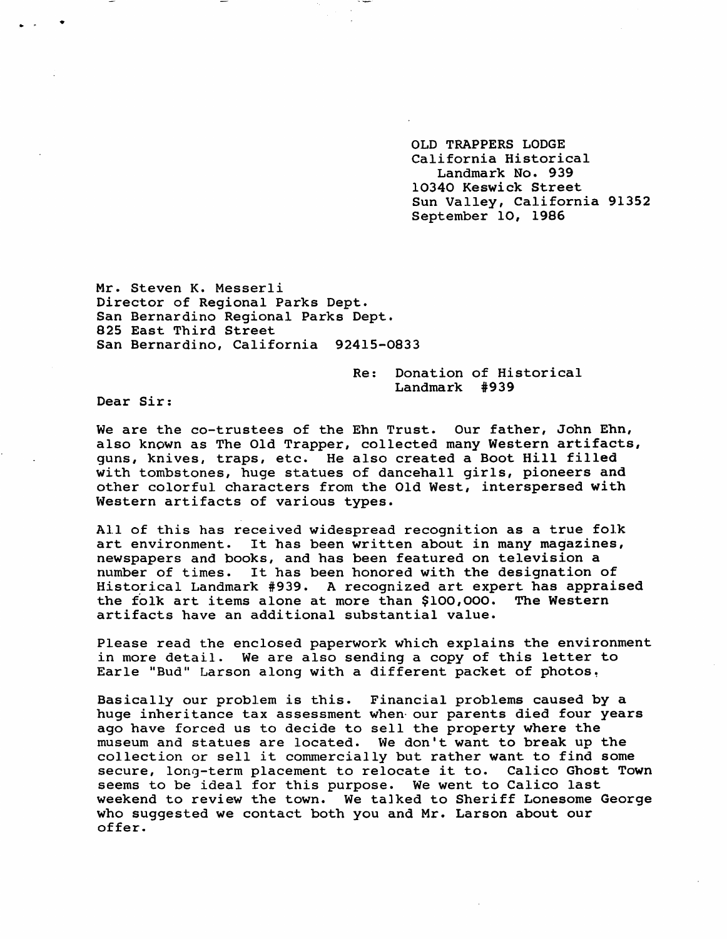OLD TRAPPERS LODGE California Historical Landmark No. 939 10340 Keswick Street Sun Valley, California 91352 September 10, 1986

Mr. Steven K. Messerli Director of Regional Parks Dept. San Bernardino Regional Parks Dept. 825 East Third Street San Bernardino, California 92415-0833

> Re: Donation of Historical Landmark #939

Dear Sir:

We are the co-trustees of the Ehn Trust. Our father, John Ehn, also known as The Old Trapper, collected many Western artifacts, guns, knives, traps, etc. He also created a Boot Hill filled with tombstones, huge statues of dancehall girls, pioneers and other colorful characters from the Old West, interspersed with Western artifacts of various types.

All of this has received widespread recognition as a true folk art environment. It has been written about in many magazines, new spapers and books, and has been featured on television a number of times. It has been honored with the designation of Historical Landmark # 939. A recognized art expert has appraised the folk art items alone at more than \$100,000. The Western artifacts have an additional substantial value.

Please read the enclosed paperwork which explains the environment in more detail. We are also sending a copy of this letter to Earle "Bud" Larson along with a different packet of photos,

Basically our problem is this. Financial problems caused by a huge inheritance tax assessment when our parents died four years ago have forced us to decide to sell the property where the museum and statues are located. We don't want to break up the collection or sell it commercially but rather want to find some secure, long-term placement to relocate it to. Calico Ghost Town seems to be ideal for this purpose. We went to Calico last weekend to review the town. We talked to Sheriff Lonesome George who suggested we contact both you and Mr. Larson about our offer.